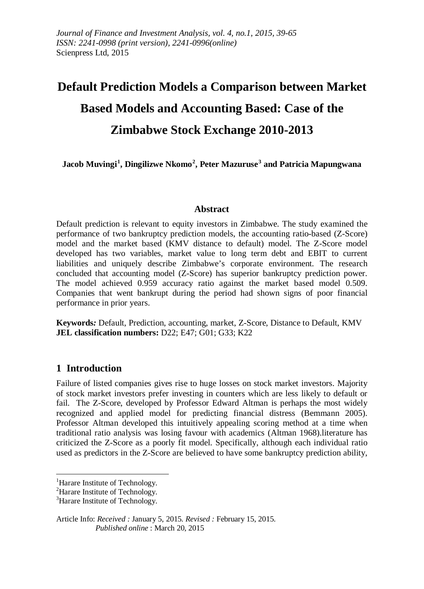# **Default Prediction Models a Comparison between Market Based Models and Accounting Based: Case of the Zimbabwe Stock Exchange 2010-2013**

**Jacob Muvingi[1](#page-0-0) , Dingilizwe Nkomo[2](#page-0-1) , Peter Mazuruse[3](#page-0-2) and Patricia Mapungwana**

#### **Abstract**

Default prediction is relevant to equity investors in Zimbabwe. The study examined the performance of two bankruptcy prediction models, the accounting ratio-based (Z-Score) model and the market based (KMV distance to default) model. The Z-Score model developed has two variables, market value to long term debt and EBIT to current liabilities and uniquely describe Zimbabwe's corporate environment. The research concluded that accounting model (Z-Score) has superior bankruptcy prediction power. The model achieved 0.959 accuracy ratio against the market based model 0.509. Companies that went bankrupt during the period had shown signs of poor financial performance in prior years.

**Keywords***:* Default, Prediction, accounting, market, Z-Score, Distance to Default, KMV **JEL classification numbers:** D22; E47; G01; G33; K22

# **1 Introduction**

Failure of listed companies gives rise to huge losses on stock market investors. Majority of stock market investors prefer investing in counters which are less likely to default or fail. The Z-Score, developed by Professor Edward Altman is perhaps the most widely recognized and applied model for predicting financial distress (Bemmann 2005). Professor Altman developed this intuitively appealing scoring method at a time when traditional ratio analysis was losing favour with academics (Altman 1968).literature has criticized the Z-Score as a poorly fit model. Specifically, although each individual ratio used as predictors in the Z-Score are believed to have some bankruptcy prediction ability,

Article Info: *Received :* January 5, 2015*. Revised :* February 15, 2015.  *Published online* : March 20, 2015

 $\frac{1}{1}$ <sup>1</sup>Harare Institute of Technology.

<span id="page-0-1"></span><span id="page-0-0"></span> ${}^{2}$ Harare Institute of Technology.

<span id="page-0-2"></span><sup>&</sup>lt;sup>3</sup>Harare Institute of Technology.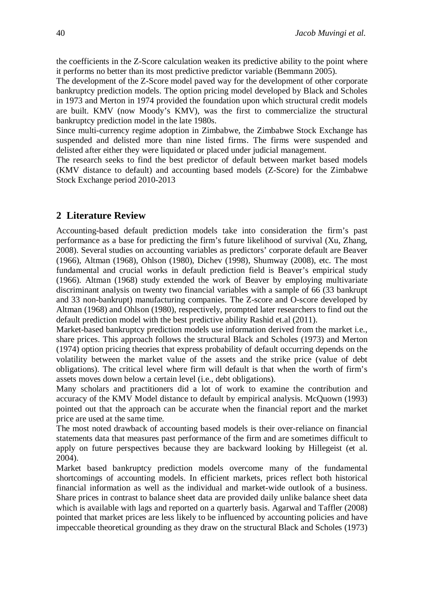the coefficients in the Z-Score calculation weaken its predictive ability to the point where it performs no better than its most predictive predictor variable (Bemmann 2005).

The development of the Z-Score model paved way for the development of other corporate bankruptcy prediction models. The option pricing model developed by Black and Scholes in 1973 and Merton in 1974 provided the foundation upon which structural credit models are built. KMV (now Moody's KMV), was the first to commercialize the structural bankruptcy prediction model in the late 1980s.

Since multi-currency regime adoption in Zimbabwe, the Zimbabwe Stock Exchange has suspended and delisted more than nine listed firms. The firms were suspended and delisted after either they were liquidated or placed under judicial management.

The research seeks to find the best predictor of default between market based models (KMV distance to default) and accounting based models (Z-Score) for the Zimbabwe Stock Exchange period 2010-2013

# **2 Literature Review**

Accounting-based default prediction models take into consideration the firm's past performance as a base for predicting the firm's future likelihood of survival (Xu, Zhang, 2008). Several studies on accounting variables as predictors' corporate default are Beaver (1966), Altman (1968), Ohlson (1980), Dichev (1998), Shumway (2008), etc. The most fundamental and crucial works in default prediction field is Beaver's empirical study (1966). Altman (1968) study extended the work of Beaver by employing multivariate discriminant analysis on twenty two financial variables with a sample of 66 (33 bankrupt and 33 non-bankrupt) manufacturing companies. The Z-score and O-score developed by Altman (1968) and Ohlson (1980), respectively, prompted later researchers to find out the default prediction model with the best predictive ability Rashid et.al (2011).

Market-based bankruptcy prediction models use information derived from the market i.e., share prices. This approach follows the structural Black and Scholes (1973) and Merton (1974) option pricing theories that express probability of default occurring depends on the volatility between the market value of the assets and the strike price (value of debt obligations). The critical level where firm will default is that when the worth of firm's assets moves down below a certain level (i.e., debt obligations).

Many scholars and practitioners did a lot of work to examine the contribution and accuracy of the KMV Model distance to default by empirical analysis. McQuown (1993) pointed out that the approach can be accurate when the financial report and the market price are used at the same time.

The most noted drawback of accounting based models is their over-reliance on financial statements data that measures past performance of the firm and are sometimes difficult to apply on future perspectives because they are backward looking by Hillegeist (et al. 2004).

Market based bankruptcy prediction models overcome many of the fundamental shortcomings of accounting models. In efficient markets, prices reflect both historical financial information as well as the individual and market-wide outlook of a business. Share prices in contrast to balance sheet data are provided daily unlike balance sheet data which is available with lags and reported on a quarterly basis. Agarwal and Taffler (2008) pointed that market prices are less likely to be influenced by accounting policies and have impeccable theoretical grounding as they draw on the structural Black and Scholes (1973)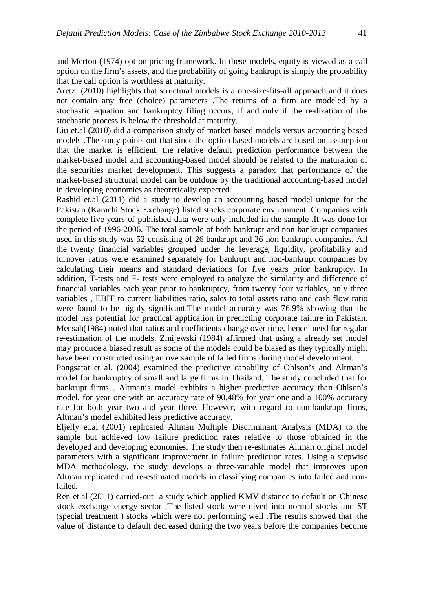and Merton (1974) option pricing framework. In these models, equity is viewed as a call option on the firm's assets, and the probability of going bankrupt is simply the probability that the call option is worthless at maturity.

Aretz (2010) highlights that structural models is a one-size-fits-all approach and it does not contain any free (choice) parameters .The returns of a firm are modeled by a stochastic equation and bankruptcy filing occurs, if and only if the realization of the stochastic process is below the threshold at maturity.

Liu et.al (2010) did a comparison study of market based models versus accounting based models .The study points out that since the option based models are based on assumption that the market is efficient, the relative default prediction performance between the market-based model and accounting-based model should be related to the maturation of the securities market development. This suggests a paradox that performance of the market-based structural model can be outdone by the traditional accounting-based model in developing economies as theoretically expected.

Rashid et.al (2011) did a study to develop an accounting based model unique for the Pakistan (Karachi Stock Exchange) listed stocks corporate environment. Companies with complete five years of published data were only included in the sample .It was done for the period of 1996-2006. The total sample of both bankrupt and non-bankrupt companies used in this study was 52 consisting of 26 bankrupt and 26 non-bankrupt companies. All the twenty financial variables grouped under the leverage, liquidity, profitability and turnover ratios were examined separately for bankrupt and non-bankrupt companies by calculating their means and standard deviations for five years prior bankruptcy. In addition, T-tests and F- tests were employed to analyze the similarity and difference of financial variables each year prior to bankruptcy, from twenty four variables, only three variables , EBIT to current liabilities ratio, sales to total assets ratio and cash flow ratio were found to be highly significant.The model accuracy was 76.9% showing that the model has potential for practical application in predicting corporate failure in Pakistan. Mensah(1984) noted that ratios and coefficients change over time, hence need for regular re-estimation of the models. Zmijewski (1984) affirmed that using a already set model may produce a biased result as some of the models could be biased as they typically might have been constructed using an oversample of failed firms during model development.

Pongsatat et al. (2004) examined the predictive capability of Ohlson's and Altman's model for bankruptcy of small and large firms in Thailand. The study concluded that for bankrupt firms , Altman's model exhibits a higher predictive accuracy than Ohlson's model, for year one with an accuracy rate of 90.48% for year one and a 100% accuracy rate for both year two and year three. However, with regard to non-bankrupt firms, Altman's model exhibited less predictive accuracy.

Eljelly et.al (2001) replicated Altman Multiple Discriminant Analysis (MDA) to the sample but achieved low failure prediction rates relative to those obtained in the developed and developing economies. The study then re-estimates Altman original model parameters with a significant improvement in failure prediction rates. Using a stepwise MDA methodology, the study develops a three-variable model that improves upon Altman replicated and re-estimated models in classifying companies into failed and nonfailed.

Ren et.al (2011) carried-out a study which applied KMV distance to default on Chinese stock exchange energy sector .The listed stock were dived into normal stocks and ST (special treatment ) stocks which were not performing well .The results showed that the value of distance to default decreased during the two years before the companies become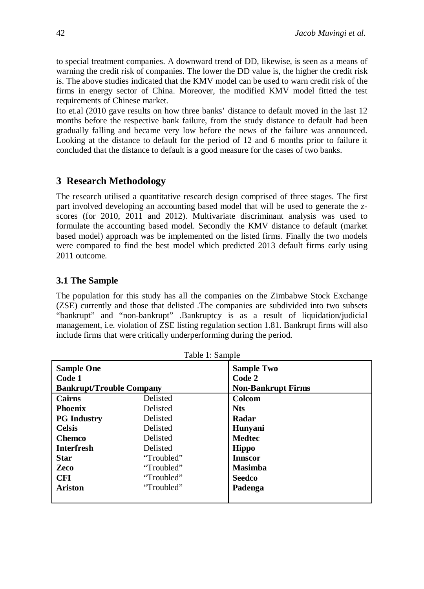to special treatment companies. A downward trend of DD, likewise, is seen as a means of warning the credit risk of companies. The lower the DD value is, the higher the credit risk is. The above studies indicated that the KMV model can be used to warn credit risk of the firms in energy sector of China. Moreover, the modified KMV model fitted the test requirements of Chinese market.

Ito et.al (2010 gave results on how three banks' distance to default moved in the last 12 months before the respective bank failure, from the study distance to default had been gradually falling and became very low before the news of the failure was announced. Looking at the distance to default for the period of 12 and 6 months prior to failure it concluded that the distance to default is a good measure for the cases of two banks.

# **3 Research Methodology**

The research utilised a quantitative research design comprised of three stages. The first part involved developing an accounting based model that will be used to generate the zscores (for 2010, 2011 and 2012). Multivariate discriminant analysis was used to formulate the accounting based model. Secondly the KMV distance to default (market based model) approach was be implemented on the listed firms. Finally the two models were compared to find the best model which predicted 2013 default firms early using 2011 outcome.

# **3.1 The Sample**

The population for this study has all the companies on the Zimbabwe Stock Exchange (ZSE) currently and those that delisted .The companies are subdivided into two subsets "bankrupt" and "non-bankrupt" .Bankruptcy is as a result of liquidation/judicial management, i.e. violation of ZSE listing regulation section 1.81. Bankrupt firms will also include firms that were critically underperforming during the period.

| Table 1: Sample                                                |                 |                                                          |  |  |  |  |
|----------------------------------------------------------------|-----------------|----------------------------------------------------------|--|--|--|--|
| <b>Sample One</b><br>Code 1<br><b>Bankrupt/Trouble Company</b> |                 | <b>Sample Two</b><br>Code 2<br><b>Non-Bankrupt Firms</b> |  |  |  |  |
| Cairns                                                         | Delisted        | Colcom                                                   |  |  |  |  |
| <b>Phoenix</b>                                                 | Delisted        | <b>Nts</b>                                               |  |  |  |  |
| <b>PG</b> Industry                                             | Delisted        | Radar                                                    |  |  |  |  |
| <b>Celsis</b>                                                  | <b>Delisted</b> | <b>Hunyani</b>                                           |  |  |  |  |
| <b>Chemco</b>                                                  | Delisted        | <b>Medtec</b>                                            |  |  |  |  |
| <b>Interfresh</b>                                              | <b>Delisted</b> | <b>Hippo</b>                                             |  |  |  |  |
| <b>Star</b>                                                    | "Troubled"      | <b>Innscor</b>                                           |  |  |  |  |
| <b>Zeco</b>                                                    | "Troubled"      | <b>Masimba</b>                                           |  |  |  |  |
| <b>CFI</b>                                                     | "Troubled"      | Seedco                                                   |  |  |  |  |
| <b>Ariston</b>                                                 | "Troubled"      | Padenga                                                  |  |  |  |  |
|                                                                |                 |                                                          |  |  |  |  |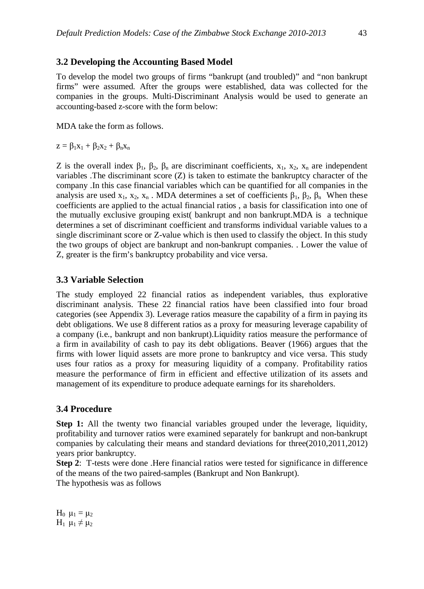# **3.2 Developing the Accounting Based Model**

To develop the model two groups of firms "bankrupt (and troubled)" and "non bankrupt firms" were assumed. After the groups were established, data was collected for the companies in the groups. Multi-Discriminant Analysis would be used to generate an accounting-based z-score with the form below:

MDA take the form as follows.

#### $z = \beta_1 x_1 + \beta_2 x_2 + \beta_n x_n$

Z is the overall index  $\beta_1$ ,  $\beta_2$ ,  $\beta_n$  are discriminant coefficients,  $x_1$ ,  $x_2$ ,  $x_n$  are independent variables . The discriminant score  $(Z)$  is taken to estimate the bankruptcy character of the company .In this case financial variables which can be quantified for all companies in the analysis are used  $x_1, x_2, x_n$ . MDA determines a set of coefficients  $\beta_1, \beta_2, \beta_n$ . When these coefficients are applied to the actual financial ratios , a basis for classification into one of the mutually exclusive grouping exist( bankrupt and non bankrupt.MDA is a technique determines a set of discriminant coefficient and transforms individual variable values to a single discriminant score or Z-value which is then used to classify the object. In this study the two groups of object are bankrupt and non-bankrupt companies. . Lower the value of Z, greater is the firm's bankruptcy probability and vice versa.

#### **3.3 Variable Selection**

The study employed 22 financial ratios as independent variables, thus explorative discriminant analysis. These 22 financial ratios have been classified into four broad categories (see Appendix 3). Leverage ratios measure the capability of a firm in paying its debt obligations. We use 8 different ratios as a proxy for measuring leverage capability of a company (i.e., bankrupt and non bankrupt).Liquidity ratios measure the performance of a firm in availability of cash to pay its debt obligations. Beaver (1966) argues that the firms with lower liquid assets are more prone to bankruptcy and vice versa. This study uses four ratios as a proxy for measuring liquidity of a company. Profitability ratios measure the performance of firm in efficient and effective utilization of its assets and management of its expenditure to produce adequate earnings for its shareholders.

#### **3.4 Procedure**

**Step 1:** All the twenty two financial variables grouped under the leverage, liquidity, profitability and turnover ratios were examined separately for bankrupt and non-bankrupt companies by calculating their means and standard deviations for three(2010,2011,2012) years prior bankruptcy.

**Step 2**: T-tests were done .Here financial ratios were tested for significance in difference of the means of the two paired-samples (Bankrupt and Non Bankrupt).

The hypothesis was as follows

 $H_0$   $\mu_1 = \mu_2$  $H_1$   $\mu_1 \neq \mu_2$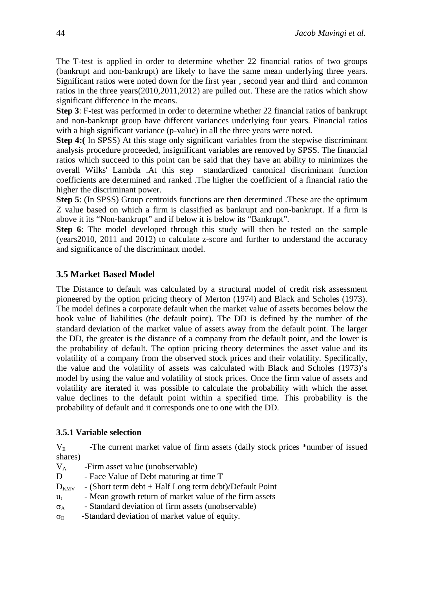The T-test is applied in order to determine whether 22 financial ratios of two groups (bankrupt and non-bankrupt) are likely to have the same mean underlying three years. Significant ratios were noted down for the first year , second year and third and common ratios in the three years(2010,2011,2012) are pulled out. These are the ratios which show significant difference in the means.

**Step 3**: F-test was performed in order to determine whether 22 financial ratios of bankrupt and non-bankrupt group have different variances underlying four years. Financial ratios with a high significant variance (p-value) in all the three years were noted.

**Step 4:(** In SPSS) At this stage only significant variables from the stepwise discriminant analysis procedure proceeded, insignificant variables are removed by SPSS. The financial ratios which succeed to this point can be said that they have an ability to minimizes the overall Wilks' Lambda .At this step standardized canonical discriminant function coefficients are determined and ranked .The higher the coefficient of a financial ratio the higher the discriminant power.

**Step 5**: (In SPSS) Group centroids functions are then determined .These are the optimum Z value based on which a firm is classified as bankrupt and non-bankrupt. If a firm is above it its "Non-bankrupt" and if below it is below its "Bankrupt".

**Step 6**: The model developed through this study will then be tested on the sample (years2010, 2011 and 2012) to calculate z-score and further to understand the accuracy and significance of the discriminant model.

# **3.5 Market Based Model**

The Distance to default was calculated by a structural model of credit risk assessment pioneered by the option pricing theory of Merton (1974) and Black and Scholes (1973). The model defines a corporate default when the market value of assets becomes below the book value of liabilities (the default point). The DD is defined by the number of the standard deviation of the market value of assets away from the default point. The larger the DD, the greater is the distance of a company from the default point, and the lower is the probability of default. The option pricing theory determines the asset value and its volatility of a company from the observed stock prices and their volatility. Specifically, the value and the volatility of assets was calculated with Black and Scholes (1973)'s model by using the value and volatility of stock prices. Once the firm value of assets and volatility are iterated it was possible to calculate the probability with which the asset value declines to the default point within a specified time. This probability is the probability of default and it corresponds one to one with the DD.

#### **3.5.1 Variable selection**

 $V<sub>F</sub>$  -The current market value of firm assets (daily stock prices \*number of issued shares)

- $V_A$  -Firm asset value (unobservable)
- D Face Value of Debt maturing at time T
- $D_{KMV}$  (Short term debt + Half Long term debt)/Default Point
- $u_t$  Mean growth return of market value of the firm assets
- $\sigma_A$  Standard deviation of firm assets (unobservable)
- $\sigma_{\rm E}$  -Standard deviation of market value of equity.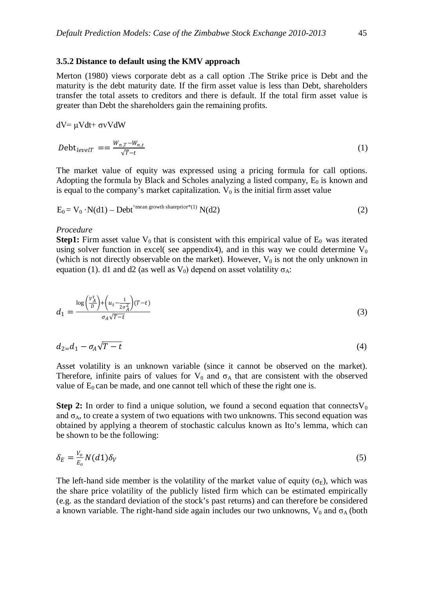#### **3.5.2 Distance to default using the KMV approach**

Merton (1980) views corporate debt as a call option .The Strike price is Debt and the maturity is the debt maturity date. If the firm asset value is less than Debt, shareholders transfer the total assets to creditors and there is default. If the total firm asset value is greater than Debt the shareholders gain the remaining profits.

$$
dV = \mu V dt + \sigma v V dW
$$

$$
Debt_{levelT} = \frac{W_{n,T} - W_{n,t}}{\sqrt{T} - t}
$$
\n(1)

The market value of equity was expressed using a pricing formula for call options. Adopting the formula by Black and Scholes analyzing a listed company,  $E_0$  is known and is equal to the company's market capitalization.  $V_0$  is the initial firm asset value

$$
E_0 = V_0 \cdot N(d1) - Debt^{\text{mean growth shareprice}*(1)} N(d2)
$$
 (2)

#### *Procedure*

**Step1:** Firm asset value  $V_0$  that is consistent with this empirical value of  $E_0$  was iterated using solver function in excel( see appendix4), and in this way we could determine  $V_0$ (which is not directly observable on the market). However,  $V_0$  is not the only unknown in equation (1). d1 and d2 (as well as  $V_0$ ) depend on asset volatility  $\sigma_A$ :

$$
d_1 = \frac{\log\left(\frac{v_A^t}{D}\right) + \left(u_t - \frac{1}{2\sigma_A^2}\right)(T-t)}{\sigma_A\sqrt{T-t}}
$$
\n
$$
\tag{3}
$$

$$
d_{2}=d_{1}-\sigma_{A}\sqrt{T-t}
$$
\n<sup>(4)</sup>

Asset volatility is an unknown variable (since it cannot be observed on the market). Therefore, infinite pairs of values for  $V_0$  and  $\sigma_A$  that are consistent with the observed value of  $E_0$  can be made, and one cannot tell which of these the right one is.

**Step 2:** In order to find a unique solution, we found a second equation that connects  $V_0$ and  $\sigma_A$ , to create a system of two equations with two unknowns. This second equation was obtained by applying a theorem of stochastic calculus known as Ito's lemma, which can be shown to be the following:

$$
\delta_E = \frac{V_o}{E_o} N(d1) \delta_V \tag{5}
$$

The left-hand side member is the volatility of the market value of equity ( $\sigma_E$ ), which was the share price volatility of the publicly listed firm which can be estimated empirically (e.g. as the standard deviation of the stock's past returns) and can therefore be considered a known variable. The right-hand side again includes our two unknowns,  $V_0$  and  $\sigma_A$  (both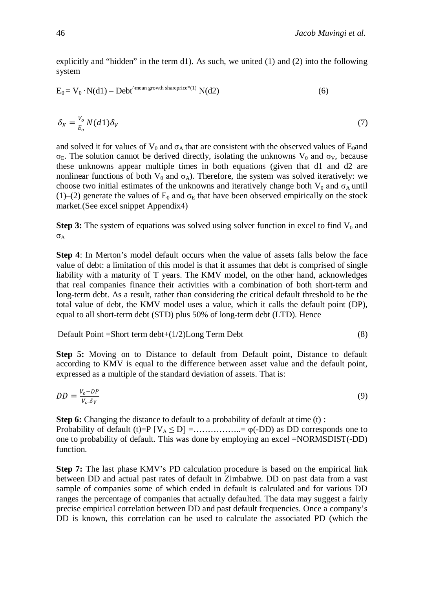explicitly and "hidden" in the term d1). As such, we united  $(1)$  and  $(2)$  into the following system

$$
E_0 = V_0 \cdot N(d1) - Debt^{\text{mean growth shareprice*(1)}} N(d2)
$$
 (6)

$$
\delta_E = \frac{V_o}{E_o} N(d1) \delta_V \tag{7}
$$

and solved it for values of  $V_0$  and  $\sigma_A$  that are consistent with the observed values of E<sub>0</sub>and  $\sigma_{\rm E}$ . The solution cannot be derived directly, isolating the unknowns V<sub>0</sub> and  $\sigma_{\rm V}$ , because these unknowns appear multiple times in both equations (given that d1 and d2 are nonlinear functions of both  $V_0$  and  $\sigma_A$ ). Therefore, the system was solved iteratively: we choose two initial estimates of the unknowns and iteratively change both  $V_0$  and  $\sigma_A$  until (1)–(2) generate the values of  $E_0$  and  $\sigma_E$  that have been observed empirically on the stock market.(See excel snippet Appendix4)

**Step 3:** The system of equations was solved using solver function in excel to find  $V_0$  and σA

**Step 4**: In Merton's model default occurs when the value of assets falls below the face value of debt: a limitation of this model is that it assumes that debt is comprised of single liability with a maturity of T years. The KMV model, on the other hand, acknowledges that real companies finance their activities with a combination of both short-term and long-term debt. As a result, rather than considering the critical default threshold to be the total value of debt, the KMV model uses a value, which it calls the default point (DP), equal to all short-term debt (STD) plus 50% of long-term debt (LTD). Hence

$$
Default Point = Short term debt + (1/2)Long Term Debt
$$
\n(8)

**Step 5:** Moving on to Distance to default from Default point, Distance to default according to KMV is equal to the difference between asset value and the default point, expressed as a multiple of the standard deviation of assets. That is:

$$
DD = \frac{V_o - DP}{V_o \delta_V} \tag{9}
$$

**Step 6:** Changing the distance to default to a probability of default at time (t) : Probability of default (t)=P  $[V_A \le D] =$ .................=  $\varphi$ (-DD) as DD corresponds one to one to probability of default. This was done by employing an excel =NORMSDIST(-DD) function.

**Step 7:** The last phase KMV's PD calculation procedure is based on the empirical link between DD and actual past rates of default in Zimbabwe. DD on past data from a vast sample of companies some of which ended in default is calculated and for various DD ranges the percentage of companies that actually defaulted. The data may suggest a fairly precise empirical correlation between DD and past default frequencies. Once a company's DD is known, this correlation can be used to calculate the associated PD (which the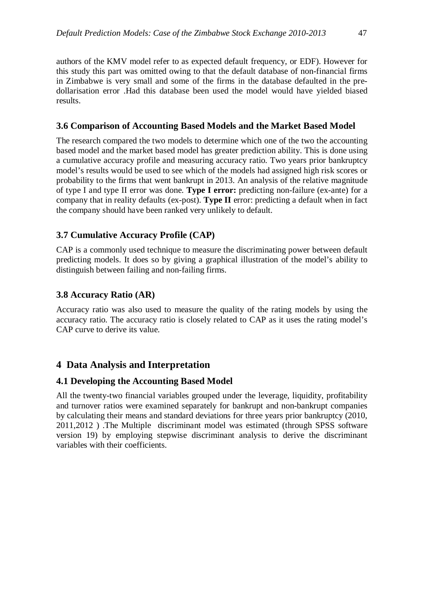authors of the KMV model refer to as expected default frequency, or EDF). However for this study this part was omitted owing to that the default database of non-financial firms in Zimbabwe is very small and some of the firms in the database defaulted in the predollarisation error .Had this database been used the model would have yielded biased results.

# **3.6 Comparison of Accounting Based Models and the Market Based Model**

The research compared the two models to determine which one of the two the accounting based model and the market based model has greater prediction ability. This is done using a cumulative accuracy profile and measuring accuracy ratio. Two years prior bankruptcy model's results would be used to see which of the models had assigned high risk scores or probability to the firms that went bankrupt in 2013. An analysis of the relative magnitude of type I and type II error was done. **Type I error:** predicting non-failure (ex-ante) for a company that in reality defaults (ex-post). **Type II** error: predicting a default when in fact the company should have been ranked very unlikely to default.

# **3.7 Cumulative Accuracy Profile (CAP)**

CAP is a commonly used technique to measure the discriminating power between default predicting models. It does so by giving a graphical illustration of the model's ability to distinguish between failing and non-failing firms.

# **3.8 Accuracy Ratio (AR)**

Accuracy ratio was also used to measure the quality of the rating models by using the accuracy ratio. The accuracy ratio is closely related to CAP as it uses the rating model's CAP curve to derive its value.

# **4 Data Analysis and Interpretation**

# **4.1 Developing the Accounting Based Model**

All the twenty-two financial variables grouped under the leverage, liquidity, profitability and turnover ratios were examined separately for bankrupt and non-bankrupt companies by calculating their means and standard deviations for three years prior bankruptcy (2010, 2011,2012 ) .The Multiple discriminant model was estimated (through SPSS software version 19) by employing stepwise discriminant analysis to derive the discriminant variables with their coefficients.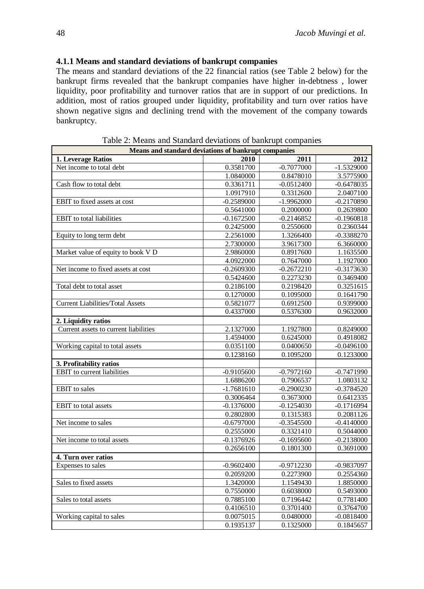#### **4.1.1 Means and standard deviations of bankrupt companies**

The means and standard deviations of the 22 financial ratios (see Table 2 below) for the bankrupt firms revealed that the bankrupt companies have higher in-debtness , lower liquidity, poor profitability and turnover ratios that are in support of our predictions. In addition, most of ratios grouped under liquidity, profitability and turn over ratios have shown negative signs and declining trend with the movement of the company towards bankruptcy.

|                                         | Means and standard deviations of bankrupt companies |              |              |  |  |  |  |  |  |
|-----------------------------------------|-----------------------------------------------------|--------------|--------------|--|--|--|--|--|--|
| 1. Leverage Ratios                      | 2010                                                | 2011         | 2012         |  |  |  |  |  |  |
| Net income to total debt                | 0.3581700                                           | $-0.7077000$ | $-1.5329000$ |  |  |  |  |  |  |
|                                         | 1.0840000                                           | 0.8478010    | 3.5775900    |  |  |  |  |  |  |
| Cash flow to total debt                 | 0.3361711                                           | $-0.0512400$ | $-0.6478035$ |  |  |  |  |  |  |
|                                         | 1.0917910                                           | 0.3312600    | 2.0407100    |  |  |  |  |  |  |
| EBIT to fixed assets at cost            | $-0.2589000$                                        | $-1.9962000$ | $-0.2170890$ |  |  |  |  |  |  |
|                                         | 0.5641000                                           | 0.2000000    | 0.2639800    |  |  |  |  |  |  |
| <b>EBIT</b> to total liabilities        | $-0.1672500$                                        | $-0.2146852$ | $-0.1960818$ |  |  |  |  |  |  |
|                                         | 0.2425000                                           | 0.2550600    | 0.2360344    |  |  |  |  |  |  |
| Equity to long term debt                | 2.2561000                                           | 1.3266400    | $-0.3388270$ |  |  |  |  |  |  |
|                                         | 2.7300000                                           | 3.9617300    | 6.3660000    |  |  |  |  |  |  |
| Market value of equity to book V D      | 2.9860000                                           | 0.8917600    | 1.1635500    |  |  |  |  |  |  |
|                                         | 4.0922000                                           | 0.7647000    | 1.1927000    |  |  |  |  |  |  |
| Net income to fixed assets at cost      | $-0.2609300$                                        | $-0.2672210$ | $-0.3173630$ |  |  |  |  |  |  |
|                                         | 0.5424600                                           | 0.2273230    | 0.3469400    |  |  |  |  |  |  |
| Total debt to total asset               | 0.2186100                                           | 0.2198420    | 0.3251615    |  |  |  |  |  |  |
|                                         | 0.1270000                                           | 0.1095000    | 0.1641790    |  |  |  |  |  |  |
| <b>Current Liabilities/Total Assets</b> | 0.5821077                                           | 0.6912500    | 0.9399000    |  |  |  |  |  |  |
|                                         | 0.4337000                                           | 0.5376300    | 0.9632000    |  |  |  |  |  |  |
| 2. Liquidity ratios                     |                                                     |              |              |  |  |  |  |  |  |
| Current assets to current liabilities   | 2.1327000                                           | 1.1927800    | 0.8249000    |  |  |  |  |  |  |
|                                         | 1.4594000                                           | 0.6245000    | 0.4918082    |  |  |  |  |  |  |
| Working capital to total assets         | 0.0351100                                           | 0.0400650    | $-0.0496100$ |  |  |  |  |  |  |
|                                         | 0.1238160                                           | 0.1095200    | 0.1233000    |  |  |  |  |  |  |
| 3. Profitability ratios                 |                                                     |              |              |  |  |  |  |  |  |
| <b>EBIT</b> to current liabilities      | $-0.9105600$                                        | $-0.7972160$ | $-0.7471990$ |  |  |  |  |  |  |
|                                         | 1.6886200                                           | 0.7906537    | 1.0803132    |  |  |  |  |  |  |
| <b>EBIT</b> to sales                    | $-1.7681610$                                        | $-0.2900230$ | $-0.3784520$ |  |  |  |  |  |  |
|                                         | 0.3006464                                           | 0.3673000    | 0.6412335    |  |  |  |  |  |  |
| <b>EBIT</b> to total assets             | $-0.1376000$                                        | $-0.1254030$ | $-0.1716994$ |  |  |  |  |  |  |
|                                         | 0.2802800                                           | 0.1315383    | 0.2081126    |  |  |  |  |  |  |
| Net income to sales                     | $-0.6797000$                                        | $-0.3545500$ | $-0.4140000$ |  |  |  |  |  |  |
|                                         | 0.2555000                                           | 0.3321410    | 0.5044000    |  |  |  |  |  |  |
| Net income to total assets              | $-0.1376926$                                        | $-0.1695600$ | $-0.2138000$ |  |  |  |  |  |  |
|                                         | 0.2656100                                           | 0.1801300    | 0.3691000    |  |  |  |  |  |  |
| 4. Turn over ratios                     |                                                     |              |              |  |  |  |  |  |  |
| Expenses to sales                       | $-0.9602400$                                        | $-0.9712230$ | $-0.9837097$ |  |  |  |  |  |  |
|                                         | 0.2059200                                           | 0.2273900    | 0.2554360    |  |  |  |  |  |  |
| Sales to fixed assets                   | 1.3420000                                           | 1.1549430    | 1.8850000    |  |  |  |  |  |  |
|                                         | 0.7550000                                           | 0.6038000    | 0.5493000    |  |  |  |  |  |  |
| Sales to total assets                   | 0.7885100                                           | 0.7196442    | 0.7781400    |  |  |  |  |  |  |
|                                         | 0.4106510                                           | 0.3701400    | 0.3764700    |  |  |  |  |  |  |
| Working capital to sales                | 0.0075015                                           | 0.0480000    | $-0.0818400$ |  |  |  |  |  |  |
|                                         | 0.1935137                                           | 0.1325000    | 0.1845657    |  |  |  |  |  |  |

Table 2: Means and Standard deviations of bankrupt companies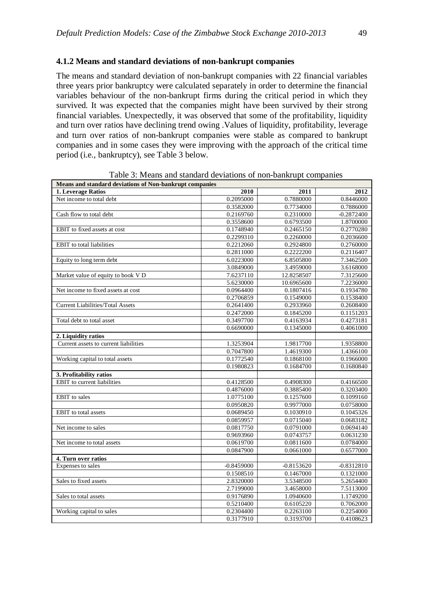#### **4.1.2 Means and standard deviations of non-bankrupt companies**

The means and standard deviation of non-bankrupt companies with 22 financial variables three years prior bankruptcy were calculated separately in order to determine the financial variables behaviour of the non-bankrupt firms during the critical period in which they survived. It was expected that the companies might have been survived by their strong financial variables. Unexpectedly, it was observed that some of the profitability, liquidity and turn over ratios have declining trend owing .Values of liquidity, profitability, leverage and turn over ratios of non-bankrupt companies were stable as compared to bankrupt companies and in some cases they were improving with the approach of the critical time period (i.e., bankruptcy), see Table 3 below.

| Means and standard deviations of Non-bankrupt companies<br>1. Leverage Ratios |                                                  |                                                  |  |  |  |  |  |  |  |
|-------------------------------------------------------------------------------|--------------------------------------------------|--------------------------------------------------|--|--|--|--|--|--|--|
| 2010                                                                          | 2011                                             | 2012                                             |  |  |  |  |  |  |  |
|                                                                               |                                                  | 0.8446000                                        |  |  |  |  |  |  |  |
| 0.3582000                                                                     | 0.7734000                                        | 0.7886000                                        |  |  |  |  |  |  |  |
|                                                                               |                                                  | $-0.2872400$                                     |  |  |  |  |  |  |  |
| 0.3558600                                                                     | 0.6793500                                        | 1.8700000                                        |  |  |  |  |  |  |  |
| 0.1748940                                                                     | 0.2465150                                        | 0.2770280                                        |  |  |  |  |  |  |  |
|                                                                               | 0.2260000                                        | 0.2036600                                        |  |  |  |  |  |  |  |
| 0.2212060                                                                     | 0.2924800                                        | 0.2760000                                        |  |  |  |  |  |  |  |
| 0.2811000                                                                     | 0.2222200                                        | 0.2116407                                        |  |  |  |  |  |  |  |
| 6.0223000                                                                     | 6.8505800                                        | 7.3462500                                        |  |  |  |  |  |  |  |
| 3.0849000                                                                     | 3.4959000                                        | 3.6168000                                        |  |  |  |  |  |  |  |
| 7.6237110                                                                     | 12.8258507                                       | 7.3125600                                        |  |  |  |  |  |  |  |
| 5.6230000                                                                     | 10.6965600                                       | 7.2236000                                        |  |  |  |  |  |  |  |
| 0.0964400                                                                     | 0.1807416                                        | 0.1934780                                        |  |  |  |  |  |  |  |
| 0.2706859                                                                     | 0.1549000                                        | 0.1538400                                        |  |  |  |  |  |  |  |
| 0.2641400                                                                     | 0.2933960                                        | 0.2608400                                        |  |  |  |  |  |  |  |
| 0.2472000                                                                     | 0.1845200                                        | 0.1151203                                        |  |  |  |  |  |  |  |
| 0.3497700                                                                     | 0.4163934                                        | 0.4273181                                        |  |  |  |  |  |  |  |
| 0.6690000                                                                     | 0.1345000                                        | 0.4061000                                        |  |  |  |  |  |  |  |
|                                                                               |                                                  |                                                  |  |  |  |  |  |  |  |
| 1.3253904                                                                     | 1.9817700                                        | 1.9358800                                        |  |  |  |  |  |  |  |
|                                                                               |                                                  | 1.4366100                                        |  |  |  |  |  |  |  |
| 0.1772540                                                                     | 0.1868100                                        | 0.1966000                                        |  |  |  |  |  |  |  |
| 0.1980823                                                                     |                                                  | 0.1680840                                        |  |  |  |  |  |  |  |
|                                                                               |                                                  |                                                  |  |  |  |  |  |  |  |
| 0.4128500                                                                     | 0.4908300                                        | 0.4166500                                        |  |  |  |  |  |  |  |
| 0.4876000                                                                     | 0.3885400                                        | 0.3203400                                        |  |  |  |  |  |  |  |
| 1.0775100                                                                     | 0.1257600                                        | 0.1099160                                        |  |  |  |  |  |  |  |
| 0.0950820                                                                     | 0.9977000                                        | 0.0758000                                        |  |  |  |  |  |  |  |
| 0.0689450                                                                     | 0.1030910                                        | 0.1045326                                        |  |  |  |  |  |  |  |
| 0.0859957                                                                     | 0.0715040                                        | 0.0683182                                        |  |  |  |  |  |  |  |
| 0.0817750                                                                     | 0.0791000                                        | 0.0694140                                        |  |  |  |  |  |  |  |
| 0.9693960                                                                     | 0.0743757                                        | 0.0631230                                        |  |  |  |  |  |  |  |
| 0.0619700                                                                     | 0.0811600                                        | 0.0784000                                        |  |  |  |  |  |  |  |
| 0.0847900                                                                     | 0.0661000                                        | 0.6577000                                        |  |  |  |  |  |  |  |
|                                                                               |                                                  |                                                  |  |  |  |  |  |  |  |
| $-0.8459000$                                                                  | $-0.8153620$                                     | $-0.8312810$                                     |  |  |  |  |  |  |  |
| 0.1508510                                                                     | 0.1467000                                        | 0.1321000                                        |  |  |  |  |  |  |  |
| 2.8320000                                                                     | 3.5348500                                        | 5.2654400                                        |  |  |  |  |  |  |  |
| 2.7199000                                                                     | 3.4658000                                        | 7.5113000                                        |  |  |  |  |  |  |  |
| 0.9176890                                                                     | 1.0940600                                        | 1.1749200                                        |  |  |  |  |  |  |  |
| 0.5210400                                                                     | 0.6105220                                        | 0.7062000                                        |  |  |  |  |  |  |  |
| 0.2304400                                                                     | 0.2263100                                        | 0.2254000                                        |  |  |  |  |  |  |  |
| 0.3177910                                                                     | 0.3193700                                        | 0.4108623                                        |  |  |  |  |  |  |  |
|                                                                               | 0.2095000<br>0.2169760<br>0.2299310<br>0.7047800 | 0.7880000<br>0.2310000<br>1.4619300<br>0.1684700 |  |  |  |  |  |  |  |

Table 3: Means and standard deviations of non-bankrupt companies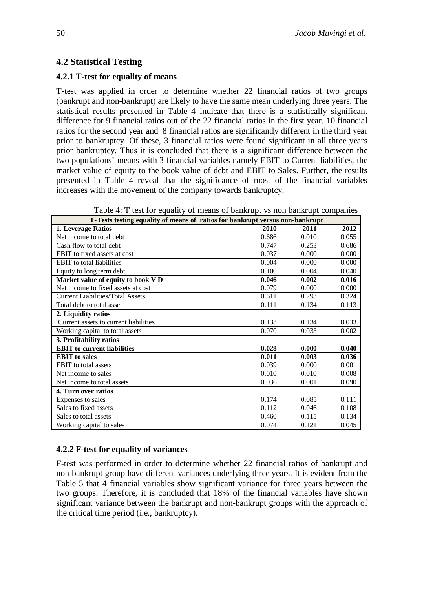# **4.2 Statistical Testing**

#### **4.2.1 T-test for equality of means**

T-test was applied in order to determine whether 22 financial ratios of two groups (bankrupt and non-bankrupt) are likely to have the same mean underlying three years. The statistical results presented in Table 4 indicate that there is a statistically significant difference for 9 financial ratios out of the 22 financial ratios in the first year, 10 financial ratios for the second year and 8 financial ratios are significantly different in the third year prior to bankruptcy. Of these, 3 financial ratios were found significant in all three years prior bankruptcy. Thus it is concluded that there is a significant difference between the two populations' means with 3 financial variables namely EBIT to Current liabilities, the market value of equity to the book value of debt and EBIT to Sales. Further, the results presented in Table 4 reveal that the significance of most of the financial variables increases with the movement of the company towards bankruptcy.

Table 4: T test for equality of means of bankrupt vs non bankrupt companies

| T-Tests testing equality of means of ratios for bankrupt versus non-bankrupt |       |       |       |  |  |  |  |
|------------------------------------------------------------------------------|-------|-------|-------|--|--|--|--|
| 1. Leverage Ratios                                                           | 2010  | 2011  | 2012  |  |  |  |  |
| Net income to total debt                                                     | 0.686 | 0.010 | 0.055 |  |  |  |  |
| Cash flow to total debt                                                      | 0.747 | 0.253 | 0.686 |  |  |  |  |
| <b>EBIT</b> to fixed assets at cost                                          | 0.037 | 0.000 | 0.000 |  |  |  |  |
| <b>EBIT</b> to total liabilities                                             | 0.004 | 0.000 | 0.000 |  |  |  |  |
| Equity to long term debt                                                     | 0.100 | 0.004 | 0.040 |  |  |  |  |
| Market value of equity to book V D                                           | 0.046 | 0.002 | 0.016 |  |  |  |  |
| Net income to fixed assets at cost                                           | 0.079 | 0.000 | 0.000 |  |  |  |  |
| <b>Current Liabilities/Total Assets</b>                                      | 0.611 | 0.293 | 0.324 |  |  |  |  |
| Total debt to total asset                                                    | 0.111 | 0.134 | 0.113 |  |  |  |  |
| 2. Liquidity ratios                                                          |       |       |       |  |  |  |  |
| Current assets to current liabilities                                        | 0.133 | 0.134 | 0.033 |  |  |  |  |
| Working capital to total assets                                              | 0.070 | 0.033 | 0.002 |  |  |  |  |
| 3. Profitability ratios                                                      |       |       |       |  |  |  |  |
| <b>EBIT</b> to current liabilities                                           | 0.028 | 0.000 | 0.040 |  |  |  |  |
| <b>EBIT</b> to sales                                                         | 0.011 | 0.003 | 0.036 |  |  |  |  |
| <b>EBIT</b> to total assets                                                  | 0.039 | 0.000 | 0.001 |  |  |  |  |
| Net income to sales                                                          | 0.010 | 0.010 | 0.008 |  |  |  |  |
| Net income to total assets                                                   | 0.036 | 0.001 | 0.090 |  |  |  |  |
| 4. Turn over ratios                                                          |       |       |       |  |  |  |  |
| Expenses to sales                                                            | 0.174 | 0.085 | 0.111 |  |  |  |  |
| Sales to fixed assets                                                        | 0.112 | 0.046 | 0.108 |  |  |  |  |
| Sales to total assets                                                        | 0.460 | 0.115 | 0.134 |  |  |  |  |
| Working capital to sales                                                     | 0.074 | 0.121 | 0.045 |  |  |  |  |

#### **4.2.2 F-test for equality of variances**

F-test was performed in order to determine whether 22 financial ratios of bankrupt and non-bankrupt group have different variances underlying three years. It is evident from the Table 5 that 4 financial variables show significant variance for three years between the two groups. Therefore, it is concluded that 18% of the financial variables have shown significant variance between the bankrupt and non-bankrupt groups with the approach of the critical time period (i.e., bankruptcy).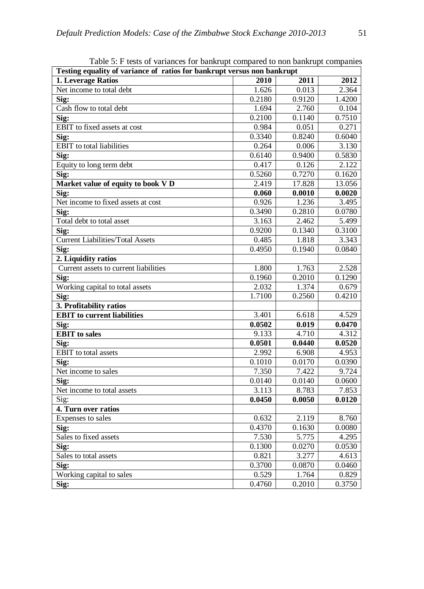| Testing equality of variance of ratios for bankrupt versus non bankrupt |        |        |        |  |  |  |
|-------------------------------------------------------------------------|--------|--------|--------|--|--|--|
| 1. Leverage Ratios                                                      | 2010   | 2011   | 2012   |  |  |  |
| Net income to total debt                                                | 1.626  | 0.013  | 2.364  |  |  |  |
| Sig:                                                                    | 0.2180 | 0.9120 | 1.4200 |  |  |  |
| Cash flow to total debt                                                 | 1.694  | 2.760  | 0.104  |  |  |  |
| Sig:                                                                    | 0.2100 | 0.1140 | 0.7510 |  |  |  |
| EBIT to fixed assets at cost                                            | 0.984  | 0.051  | 0.271  |  |  |  |
| Sig:                                                                    | 0.3340 | 0.8240 | 0.6040 |  |  |  |
| <b>EBIT</b> to total liabilities                                        | 0.264  | 0.006  | 3.130  |  |  |  |
| Sig:                                                                    | 0.6140 | 0.9400 | 0.5830 |  |  |  |
| Equity to long term debt                                                | 0.417  | 0.126  | 2.122  |  |  |  |
| Sig:                                                                    | 0.5260 | 0.7270 | 0.1620 |  |  |  |
| Market value of equity to book V D                                      | 2.419  | 17.828 | 13.056 |  |  |  |
| Sig:                                                                    | 0.060  | 0.0010 | 0.0020 |  |  |  |
| Net income to fixed assets at cost                                      | 0.926  | 1.236  | 3.495  |  |  |  |
| Sig:                                                                    | 0.3490 | 0.2810 | 0.0780 |  |  |  |
| Total debt to total asset                                               | 3.163  | 2.462  | 5.499  |  |  |  |
| Sig:                                                                    | 0.9200 | 0.1340 | 0.3100 |  |  |  |
| <b>Current Liabilities/Total Assets</b>                                 | 0.485  | 1.818  | 3.343  |  |  |  |
| Sig:                                                                    | 0.4950 | 0.1940 | 0.0840 |  |  |  |
| 2. Liquidity ratios                                                     |        |        |        |  |  |  |
| Current assets to current liabilities                                   | 1.800  | 1.763  | 2.528  |  |  |  |
| Sig:                                                                    | 0.1960 | 0.2010 | 0.1290 |  |  |  |
| Working capital to total assets                                         | 2.032  | 1.374  | 0.679  |  |  |  |
| Sig:                                                                    | 1.7100 | 0.2560 | 0.4210 |  |  |  |
| 3. Profitability ratios                                                 |        |        |        |  |  |  |
| <b>EBIT</b> to current liabilities                                      | 3.401  | 6.618  | 4.529  |  |  |  |
| Sig:                                                                    | 0.0502 | 0.019  | 0.0470 |  |  |  |
| <b>EBIT</b> to sales                                                    | 9.133  | 4.710  | 4.312  |  |  |  |
| Sig:                                                                    | 0.0501 | 0.0440 | 0.0520 |  |  |  |
| <b>EBIT</b> to total assets                                             | 2.992  | 6.908  | 4.953  |  |  |  |
| Sig:                                                                    | 0.1010 | 0.0170 | 0.0390 |  |  |  |
| Net income to sales                                                     | 7.350  | 7.422  | 9.724  |  |  |  |
| Sig:                                                                    | 0.0140 | 0.0140 | 0.0600 |  |  |  |
| Net income to total assets                                              | 3.113  | 8.783  | 7.853  |  |  |  |
| Sig:                                                                    | 0.0450 | 0.0050 | 0.0120 |  |  |  |
| 4. Turn over ratios                                                     |        |        |        |  |  |  |
| Expenses to sales                                                       | 0.632  | 2.119  | 8.760  |  |  |  |
| Sig:                                                                    | 0.4370 | 0.1630 | 0.0080 |  |  |  |
| Sales to fixed assets                                                   | 7.530  | 5.775  | 4.295  |  |  |  |
| Sig:                                                                    | 0.1300 | 0.0270 | 0.0530 |  |  |  |
| Sales to total assets                                                   | 0.821  | 3.277  | 4.613  |  |  |  |
| Sig:                                                                    | 0.3700 | 0.0870 | 0.0460 |  |  |  |
| Working capital to sales                                                | 0.529  | 1.764  | 0.829  |  |  |  |
| Sig:                                                                    | 0.4760 | 0.2010 | 0.3750 |  |  |  |

Table 5: F tests of variances for bankrupt compared to non bankrupt companies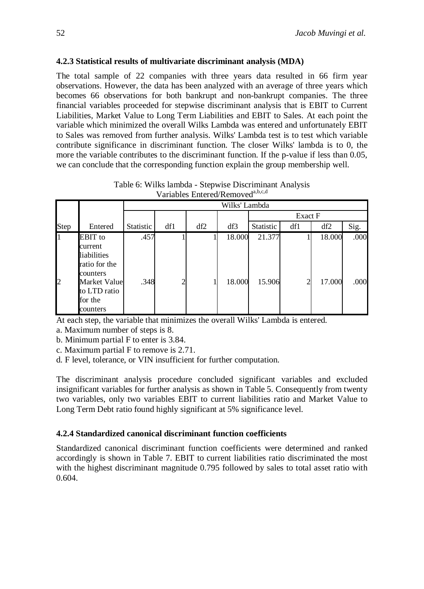#### **4.2.3 Statistical results of multivariate discriminant analysis (MDA)**

The total sample of 22 companies with three years data resulted in 66 firm year observations. However, the data has been analyzed with an average of three years which becomes 66 observations for both bankrupt and non-bankrupt companies. The three financial variables proceeded for stepwise discriminant analysis that is EBIT to Current Liabilities, Market Value to Long Term Liabilities and EBIT to Sales. At each point the variable which minimized the overall Wilks Lambda was entered and unfortunately EBIT to Sales was removed from further analysis. Wilks' Lambda test is to test which variable contribute significance in discriminant function. The closer Wilks' lambda is to 0, the more the variable contributes to the discriminant function. If the p-value if less than 0.05, we can conclude that the corresponding function explain the group membership well.

|              |                | Wilks' Lambda |     |     |        |           |         |        |      |
|--------------|----------------|---------------|-----|-----|--------|-----------|---------|--------|------|
|              |                |               |     |     |        |           | Exact F |        |      |
| Step         | Entered        | Statistic     | df1 | df2 | df3    | Statistic | df1     | df2    | Sig. |
| 1            | <b>EBIT</b> to | .457          |     |     | 18.000 | 21.377    |         | 18.000 | .000 |
|              | current        |               |     |     |        |           |         |        |      |
|              | liabilities    |               |     |     |        |           |         |        |      |
|              | ratio for the  |               |     |     |        |           |         |        |      |
|              | counters       |               |     |     |        |           |         |        |      |
| $\mathbf{b}$ | Market Value   | .348          | ◠   |     | 18.000 | 15.906    |         | 17.000 | .000 |
|              | to LTD ratio   |               |     |     |        |           |         |        |      |
|              | for the        |               |     |     |        |           |         |        |      |
|              | counters       |               |     |     |        |           |         |        |      |

Table 6: Wilks lambda - Stepwise Discriminant Analysis Variables Entered/Removed<sup>a,b,c,d</sup>

At each step, the variable that minimizes the overall Wilks' Lambda is entered.

a. Maximum number of steps is 8.

b. Minimum partial F to enter is 3.84.

c. Maximum partial F to remove is 2.71.

d. F level, tolerance, or VIN insufficient for further computation.

The discriminant analysis procedure concluded significant variables and excluded insignificant variables for further analysis as shown in Table 5. Consequently from twenty two variables, only two variables EBIT to current liabilities ratio and Market Value to Long Term Debt ratio found highly significant at 5% significance level.

#### **4.2.4 Standardized canonical discriminant function coefficients**

Standardized canonical discriminant function coefficients were determined and ranked accordingly is shown in Table 7. EBIT to current liabilities ratio discriminated the most with the highest discriminant magnitude 0.795 followed by sales to total asset ratio with 0.604.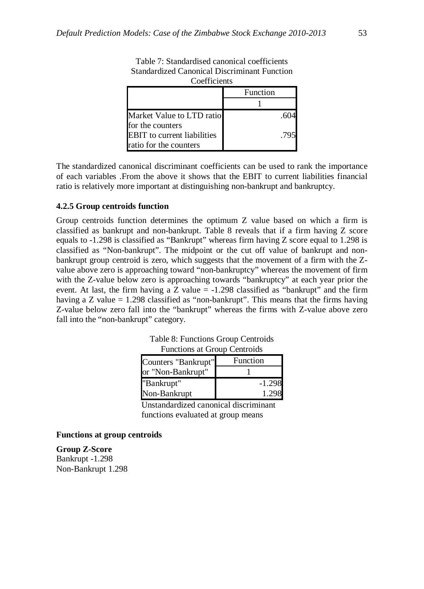| Coefficients                       |          |  |  |  |  |
|------------------------------------|----------|--|--|--|--|
|                                    | Function |  |  |  |  |
|                                    |          |  |  |  |  |
| Market Value to LTD ratio          |          |  |  |  |  |
| for the counters                   |          |  |  |  |  |
| <b>EBIT</b> to current liabilities | -795     |  |  |  |  |
| ratio for the counters             |          |  |  |  |  |

Table 7: Standardised canonical coefficients Standardized Canonical Discriminant Function

The standardized canonical discriminant coefficients can be used to rank the importance of each variables .From the above it shows that the EBIT to current liabilities financial ratio is relatively more important at distinguishing non-bankrupt and bankruptcy.

#### **4.2.5 Group centroids function**

Group centroids function determines the optimum Z value based on which a firm is classified as bankrupt and non-bankrupt. Table 8 reveals that if a firm having Z score equals to -1.298 is classified as "Bankrupt" whereas firm having Z score equal to 1.298 is classified as "Non-bankrupt". The midpoint or the cut off value of bankrupt and nonbankrupt group centroid is zero, which suggests that the movement of a firm with the Zvalue above zero is approaching toward "non-bankruptcy" whereas the movement of firm with the Z-value below zero is approaching towards "bankruptcy" at each year prior the event. At last, the firm having a  $Z$  value  $= -1.298$  classified as "bankrupt" and the firm having a Z value  $= 1.298$  classified as "non-bankrupt". This means that the firms having Z-value below zero fall into the "bankrupt" whereas the firms with Z-value above zero fall into the "non-bankrupt" category.

Table 8: Functions Group Centroids Functions at Group Centroids

| Counters "Bankrupt" | Function |
|---------------------|----------|
| or "Non-Bankrupt"   |          |
| "Bankrupt"          | $-1.298$ |
| Non-Bankrupt        | 1.298    |

Unstandardized canonical discriminant functions evaluated at group means

**Functions at group centroids**

**Group Z-Score** Bankrupt -1.298 Non-Bankrupt 1.298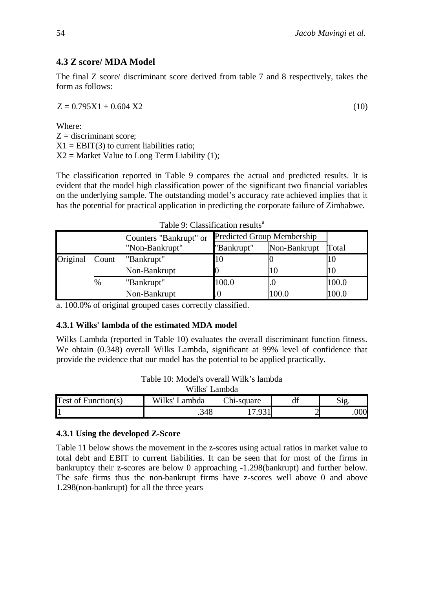# **4.3 Z score/ MDA Model**

The final Z score/ discriminant score derived from table 7 and 8 respectively, takes the form as follows:

 $Z = 0.795X1 + 0.604X2$  (10)

Where:  $Z =$  discriminant score;  $X1 = EBIT(3)$  to current liabilities ratio:  $X2 =$  Market Value to Long Term Liability (1);

The classification reported in Table 9 compares the actual and predicted results. It is evident that the model high classification power of the significant two financial variables on the underlying sample. The outstanding model's accuracy rate achieved implies that it has the potential for practical application in predicting the corporate failure of Zimbabwe.

| Tuolo 7. Ghabhthogailtean L |       |                        |                                   |              |       |  |  |
|-----------------------------|-------|------------------------|-----------------------------------|--------------|-------|--|--|
|                             |       | Counters "Bankrupt" or | <b>Predicted Group Membership</b> |              |       |  |  |
|                             |       | "Non-Bankrupt"         | "Bankrupt"                        | Non-Bankrupt | Total |  |  |
| Original                    | Count | "Bankrupt"             | 10                                |              | ΠU    |  |  |
|                             |       | Non-Bankrupt           |                                   | ΙU           | 10    |  |  |
|                             | $\%$  | "Bankrupt"             | 100.0                             |              | 100.0 |  |  |
|                             |       | Non-Bankrupt           |                                   | .00.0        | 100.0 |  |  |

Table 9: Classification results<sup>a</sup>

a. 100.0% of original grouped cases correctly classified.

#### **4.3.1 Wilks' lambda of the estimated MDA model**

Wilks Lambda (reported in Table 10) evaluates the overall discriminant function fitness. We obtain (0.348) overall Wilks Lambda, significant at 99% level of confidence that provide the evidence that our model has the potential to be applied practically.

| WHKS 1<br>lamnda        |                  |            |    |      |  |  |  |  |
|-------------------------|------------------|------------|----|------|--|--|--|--|
| Test of Function( $s$ ) | Wilks'<br>∟ambda | Chi-square | df | Sig. |  |  |  |  |
|                         | 2 A O<br>340.    |            |    | 000  |  |  |  |  |

#### Table 10: Model's overall Wilk's lambda  $Wilke'$  Lambd

#### **4.3.1 Using the developed Z-Score**

Table 11 below shows the movement in the z-scores using actual ratios in market value to total debt and EBIT to current liabilities. It can be seen that for most of the firms in bankruptcy their z-scores are below 0 approaching -1.298(bankrupt) and further below. The safe firms thus the non-bankrupt firms have z-scores well above 0 and above 1.298(non-bankrupt) for all the three years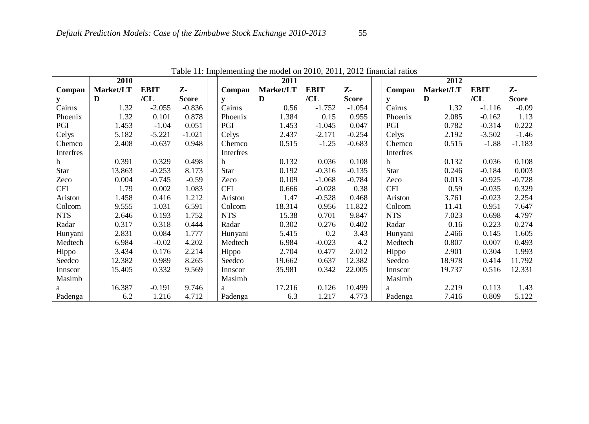|            | 2010      |             |              |             | 2011      |             |              |   |             | 2012      |             |              |
|------------|-----------|-------------|--------------|-------------|-----------|-------------|--------------|---|-------------|-----------|-------------|--------------|
| Compan     | Market/LT | <b>EBIT</b> | Z-           | Compan      | Market/LT | <b>EBIT</b> | Z-           |   | Compan      | Market/LT | <b>EBIT</b> | Z-           |
|            | D         | /CL         | <b>Score</b> | y           | D         | /CL         | <b>Score</b> | y |             | D         | /CL         | <b>Score</b> |
| Cairns     | 1.32      | $-2.055$    | $-0.836$     | Cairns      | 0.56      | $-1.752$    | $-1.054$     |   | Cairns      | 1.32      | $-1.116$    | $-0.09$      |
| Phoenix    | 1.32      | 0.101       | 0.878        | Phoenix     | 1.384     | 0.15        | 0.955        |   | Phoenix     | 2.085     | $-0.162$    | 1.13         |
| PGI        | 1.453     | $-1.04$     | 0.051        | PGI         | 1.453     | $-1.045$    | 0.047        |   | PGI         | 0.782     | $-0.314$    | 0.222        |
| Celys      | 5.182     | $-5.221$    | $-1.021$     | Celys       | 2.437     | $-2.171$    | $-0.254$     |   | Celys       | 2.192     | $-3.502$    | $-1.46$      |
| Chemco     | 2.408     | $-0.637$    | 0.948        | Chemco      | 0.515     | $-1.25$     | $-0.683$     |   | Chemco      | 0.515     | $-1.88$     | $-1.183$     |
| Interfres  |           |             |              | Interfres   |           |             |              |   | Interfres   |           |             |              |
| h          | 0.391     | 0.329       | 0.498        | h           | 0.132     | 0.036       | 0.108        | h |             | 0.132     | 0.036       | 0.108        |
| Star       | 13.863    | $-0.253$    | 8.173        | <b>Star</b> | 0.192     | $-0.316$    | $-0.135$     |   | <b>Star</b> | 0.246     | $-0.184$    | 0.003        |
| Zeco       | 0.004     | $-0.745$    | $-0.59$      | Zeco        | 0.109     | $-1.068$    | $-0.784$     |   | Zeco        | 0.013     | $-0.925$    | $-0.728$     |
| <b>CFI</b> | 1.79      | 0.002       | 1.083        | <b>CFI</b>  | 0.666     | $-0.028$    | 0.38         |   | <b>CFI</b>  | 0.59      | $-0.035$    | 0.329        |
| Ariston    | 1.458     | 0.416       | 1.212        | Ariston     | 1.47      | $-0.528$    | 0.468        |   | Ariston     | 3.761     | $-0.023$    | 2.254        |
| Colcom     | 9.555     | 1.031       | 6.591        | Colcom      | 18.314    | 0.956       | 11.822       |   | Colcom      | 11.41     | 0.951       | 7.647        |
| <b>NTS</b> | 2.646     | 0.193       | 1.752        | <b>NTS</b>  | 15.38     | 0.701       | 9.847        |   | <b>NTS</b>  | 7.023     | 0.698       | 4.797        |
| Radar      | 0.317     | 0.318       | 0.444        | Radar       | 0.302     | 0.276       | 0.402        |   | Radar       | 0.16      | 0.223       | 0.274        |
| Hunyani    | 2.831     | 0.084       | 1.777        | Hunyani     | 5.415     | 0.2         | 3.43         |   | Hunyani     | 2.466     | 0.145       | 1.605        |
| Medtech    | 6.984     | $-0.02$     | 4.202        | Medtech     | 6.984     | $-0.023$    | 4.2          |   | Medtech     | 0.807     | 0.007       | 0.493        |
| Hippo      | 3.434     | 0.176       | 2.214        | Hippo       | 2.704     | 0.477       | 2.012        |   | Hippo       | 2.901     | 0.304       | 1.993        |
| Seedco     | 12.382    | 0.989       | 8.265        | Seedco      | 19.662    | 0.637       | 12.382       |   | Seedco      | 18.978    | 0.414       | 11.792       |
| Innscor    | 15.405    | 0.332       | 9.569        | Innscor     | 35.981    | 0.342       | 22.005       |   | Innscor     | 19.737    | 0.516       | 12.331       |
| Masimb     |           |             |              | Masimb      |           |             |              |   | Masimb      |           |             |              |
| a          | 16.387    | $-0.191$    | 9.746        | a           | 17.216    | 0.126       | 10.499       | a |             | 2.219     | 0.113       | 1.43         |
| Padenga    | 6.2       | 1.216       | 4.712        | Padenga     | 6.3       | 1.217       | 4.773        |   | Padenga     | 7.416     | 0.809       | 5.122        |

Table 11: Implementing the model on 2010, 2011, 2012 financial ratios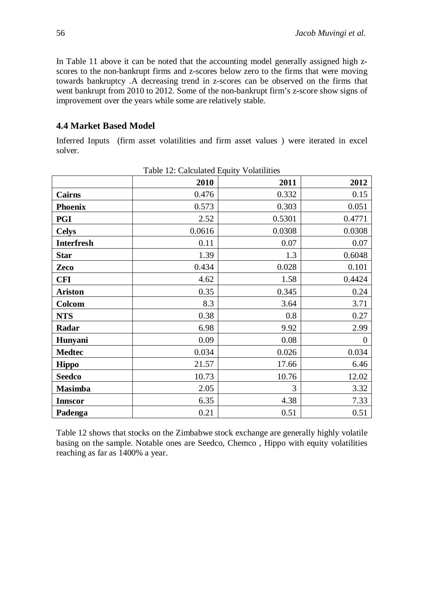In Table 11 above it can be noted that the accounting model generally assigned high zscores to the non-bankrupt firms and z-scores below zero to the firms that were moving towards bankruptcy .A decreasing trend in z-scores can be observed on the firms that went bankrupt from 2010 to 2012. Some of the non-bankrupt firm's z-score show signs of improvement over the years while some are relatively stable.

# **4.4 Market Based Model**

Inferred Inputs (firm asset volatilities and firm asset values ) were iterated in excel solver.

| radic 12. Calculated Equity Voluminus |        |        |          |  |  |  |  |
|---------------------------------------|--------|--------|----------|--|--|--|--|
|                                       | 2010   | 2011   | 2012     |  |  |  |  |
| <b>Cairns</b>                         | 0.476  | 0.332  | 0.15     |  |  |  |  |
| <b>Phoenix</b>                        | 0.573  | 0.303  | 0.051    |  |  |  |  |
| PGI                                   | 2.52   | 0.5301 | 0.4771   |  |  |  |  |
| <b>Celys</b>                          | 0.0616 | 0.0308 | 0.0308   |  |  |  |  |
| <b>Interfresh</b>                     | 0.11   | 0.07   | 0.07     |  |  |  |  |
| <b>Star</b>                           | 1.39   | 1.3    | 0.6048   |  |  |  |  |
| Zeco                                  | 0.434  | 0.028  | 0.101    |  |  |  |  |
| <b>CFI</b>                            | 4.62   | 1.58   | 0.4424   |  |  |  |  |
| <b>Ariston</b>                        | 0.35   | 0.345  | 0.24     |  |  |  |  |
| Colcom                                | 8.3    | 3.64   | 3.71     |  |  |  |  |
| <b>NTS</b>                            | 0.38   | 0.8    | 0.27     |  |  |  |  |
| Radar                                 | 6.98   | 9.92   | 2.99     |  |  |  |  |
| Hunyani                               | 0.09   | 0.08   | $\theta$ |  |  |  |  |
| <b>Medtec</b>                         | 0.034  | 0.026  | 0.034    |  |  |  |  |
| <b>Hippo</b>                          | 21.57  | 17.66  | 6.46     |  |  |  |  |
| <b>Seedco</b>                         | 10.73  | 10.76  | 12.02    |  |  |  |  |
| <b>Masimba</b>                        | 2.05   | 3      | 3.32     |  |  |  |  |
| <b>Innscor</b>                        | 6.35   | 4.38   | 7.33     |  |  |  |  |
| Padenga                               | 0.21   | 0.51   | 0.51     |  |  |  |  |

Table 12: Calculated Equity Volatilities

Table 12 shows that stocks on the Zimbabwe stock exchange are generally highly volatile basing on the sample. Notable ones are Seedco, Chemco , Hippo with equity volatilities reaching as far as 1400% a year.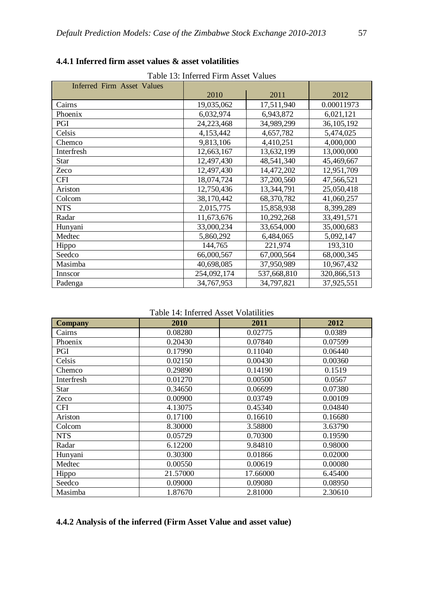| Table 13: Inferred Firm Asset Values |             |             |             |  |  |  |  |
|--------------------------------------|-------------|-------------|-------------|--|--|--|--|
| Inferred Firm Asset Values           |             |             |             |  |  |  |  |
|                                      | 2010        | 2011        | 2012        |  |  |  |  |
| Cairns                               | 19,035,062  | 17,511,940  | 0.00011973  |  |  |  |  |
| Phoenix                              | 6,032,974   | 6,943,872   | 6,021,121   |  |  |  |  |
| PGI                                  | 24,223,468  | 34,989,299  | 36,105,192  |  |  |  |  |
| Celsis                               | 4,153,442   | 4,657,782   | 5,474,025   |  |  |  |  |
| Chemco                               | 9,813,106   | 4,410,251   | 4,000,000   |  |  |  |  |
| Interfresh                           | 12,663,167  | 13,632,199  | 13,000,000  |  |  |  |  |
| Star                                 | 12,497,430  | 48,541,340  | 45,469,667  |  |  |  |  |
| Zeco                                 | 12,497,430  | 14,472,202  | 12,951,709  |  |  |  |  |
| <b>CFI</b>                           | 18,074,724  | 37,200,560  | 47,566,521  |  |  |  |  |
| Ariston                              | 12,750,436  | 13,344,791  | 25,050,418  |  |  |  |  |
| Colcom                               | 38,170,442  | 68,370,782  | 41,060,257  |  |  |  |  |
| <b>NTS</b>                           | 2,015,775   | 15,858,938  | 8,399,289   |  |  |  |  |
| Radar                                | 11,673,676  | 10,292,268  | 33,491,571  |  |  |  |  |
| Hunyani                              | 33,000,234  | 33,654,000  | 35,000,683  |  |  |  |  |
| Medtec                               | 5,860,292   | 6,484,065   | 5,092,147   |  |  |  |  |
| Hippo                                | 144,765     | 221,974     | 193,310     |  |  |  |  |
| Seedco                               | 66,000,567  | 67,000,564  | 68,000,345  |  |  |  |  |
| Masimba                              | 40,698,085  | 37,950,989  | 10,967,432  |  |  |  |  |
| Innscor                              | 254,092,174 | 537,668,810 | 320,866,513 |  |  |  |  |
| Padenga                              | 34,767,953  | 34,797,821  | 37,925,551  |  |  |  |  |

# **4.4.1 Inferred firm asset values & asset volatilities**

Table 14: Inferred Asset Volatilities

| <b>Company</b> | 2010     | 2011     | 2012    |
|----------------|----------|----------|---------|
| Cairns         | 0.08280  | 0.02775  | 0.0389  |
| Phoenix        | 0.20430  | 0.07840  | 0.07599 |
| PGI            | 0.17990  | 0.11040  | 0.06440 |
| Celsis         | 0.02150  | 0.00430  | 0.00360 |
| Chemco         | 0.29890  | 0.14190  | 0.1519  |
| Interfresh     | 0.01270  | 0.00500  | 0.0567  |
| Star           | 0.34650  | 0.06699  | 0.07380 |
| Zeco           | 0.00900  | 0.03749  | 0.00109 |
| CFI            | 4.13075  | 0.45340  | 0.04840 |
| Ariston        | 0.17100  | 0.16610  | 0.16680 |
| Colcom         | 8.30000  | 3.58800  | 3.63790 |
| <b>NTS</b>     | 0.05729  | 0.70300  | 0.19590 |
| Radar          | 6.12200  | 9.84810  | 0.98000 |
| Hunyani        | 0.30300  | 0.01866  | 0.02000 |
| Medtec         | 0.00550  | 0.00619  | 0.00080 |
| Hippo          | 21.57000 | 17.66000 | 6.45400 |
| Seedco         | 0.09000  | 0.09080  | 0.08950 |
| Masimba        | 1.87670  | 2.81000  | 2.30610 |

# **4.4.2 Analysis of the inferred (Firm Asset Value and asset value)**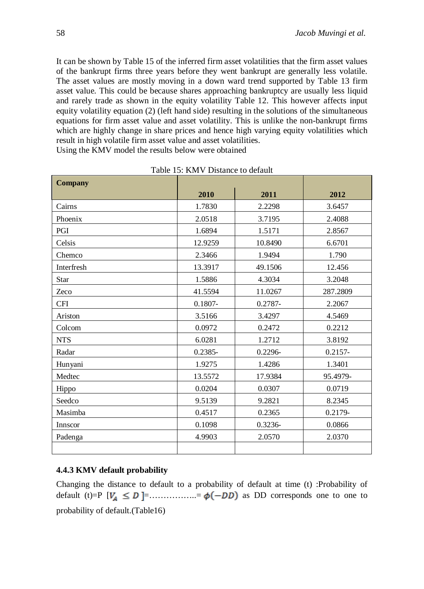It can be shown by Table 15 of the inferred firm asset volatilities that the firm asset values of the bankrupt firms three years before they went bankrupt are generally less volatile. The asset values are mostly moving in a down ward trend supported by Table 13 firm asset value. This could be because shares approaching bankruptcy are usually less liquid and rarely trade as shown in the equity volatility Table 12. This however affects input equity volatility equation (2) (left hand side) resulting in the solutions of the simultaneous equations for firm asset value and asset volatility. This is unlike the non-bankrupt firms which are highly change in share prices and hence high varying equity volatilities which result in high volatile firm asset value and asset volatilities. Using the KMV model the results below were obtained

| <b>Company</b> |            |         |            |
|----------------|------------|---------|------------|
|                | 2010       | 2011    | 2012       |
| Cairns         | 1.7830     | 2.2298  | 3.6457     |
| Phoenix        | 2.0518     | 3.7195  | 2.4088     |
| PGI            | 1.6894     | 1.5171  | 2.8567     |
| Celsis         | 12.9259    | 10.8490 | 6.6701     |
| Chemco         | 2.3466     | 1.9494  | 1.790      |
| Interfresh     | 13.3917    | 49.1506 | 12.456     |
| Star           | 1.5886     | 4.3034  | 3.2048     |
| Zeco           | 41.5594    | 11.0267 | 287.2809   |
| <b>CFI</b>     | $0.1807 -$ | 0.2787- | 2.2067     |
| Ariston        | 3.5166     | 3.4297  | 4.5469     |
| Colcom         | 0.0972     | 0.2472  | 0.2212     |
| <b>NTS</b>     | 6.0281     | 1.2712  | 3.8192     |
| Radar          | 0.2385-    | 0.2296- | $0.2157 -$ |
| Hunyani        | 1.9275     | 1.4286  | 1.3401     |
| Medtec         | 13.5572    | 17.9384 | 95.4979-   |
| Hippo          | 0.0204     | 0.0307  | 0.0719     |
| Seedco         | 9.5139     | 9.2821  | 8.2345     |
| Masimba        | 0.4517     | 0.2365  | 0.2179-    |
| Innscor        | 0.1098     | 0.3236- | 0.0866     |
| Padenga        | 4.9903     | 2.0570  | 2.0370     |
|                |            |         |            |

Table 15: KMV Distance to default

#### **4.4.3 KMV default probability**

Changing the distance to default to a probability of default at time (t) :Probability of default (t)=P  $[V_A \le D]$ = .................  $\phi(-DD)$  as DD corresponds one to one to probability of default.(Table16)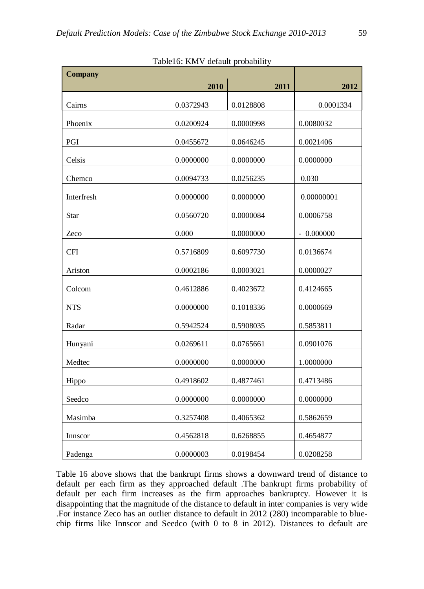| <b>Company</b> |           |           |             |
|----------------|-----------|-----------|-------------|
|                | 2010      | 2011      | 2012        |
| Cairns         | 0.0372943 | 0.0128808 | 0.0001334   |
| Phoenix        | 0.0200924 | 0.0000998 | 0.0080032   |
| PGI            | 0.0455672 | 0.0646245 | 0.0021406   |
| Celsis         | 0.0000000 | 0.0000000 | 0.0000000   |
| Chemco         | 0.0094733 | 0.0256235 | 0.030       |
| Interfresh     | 0.0000000 | 0.0000000 | 0.00000001  |
| <b>Star</b>    | 0.0560720 | 0.0000084 | 0.0006758   |
| Zeco           | 0.000     | 0.0000000 | $-0.000000$ |
| <b>CFI</b>     | 0.5716809 | 0.6097730 | 0.0136674   |
| Ariston        | 0.0002186 | 0.0003021 | 0.0000027   |
| Colcom         | 0.4612886 | 0.4023672 | 0.4124665   |
| <b>NTS</b>     | 0.0000000 | 0.1018336 | 0.0000669   |
| Radar          | 0.5942524 | 0.5908035 | 0.5853811   |
| Hunyani        | 0.0269611 | 0.0765661 | 0.0901076   |
| Medtec         | 0.0000000 | 0.0000000 | 1.0000000   |
| Hippo          | 0.4918602 | 0.4877461 | 0.4713486   |
| Seedco         | 0.0000000 | 0.0000000 | 0.0000000   |
| Masimba        | 0.3257408 | 0.4065362 | 0.5862659   |
| Innscor        | 0.4562818 | 0.6268855 | 0.4654877   |
| Padenga        | 0.0000003 | 0.0198454 | 0.0208258   |

Table16: KMV default probability

Table 16 above shows that the bankrupt firms shows a downward trend of distance to default per each firm as they approached default .The bankrupt firms probability of default per each firm increases as the firm approaches bankruptcy. However it is disappointing that the magnitude of the distance to default in inter companies is very wide .For instance Zeco has an outlier distance to default in 2012 (280) incomparable to bluechip firms like Innscor and Seedco (with 0 to 8 in 2012). Distances to default are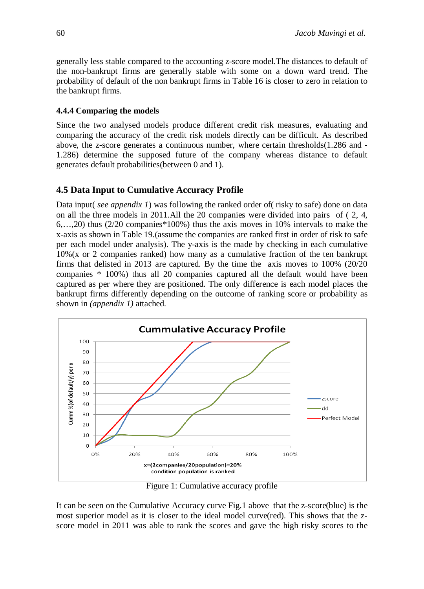generally less stable compared to the accounting z-score model.The distances to default of the non-bankrupt firms are generally stable with some on a down ward trend. The probability of default of the non bankrupt firms in Table 16 is closer to zero in relation to the bankrupt firms.

#### **4.4.4 Comparing the models**

Since the two analysed models produce different credit risk measures, evaluating and comparing the accuracy of the credit risk models directly can be difficult. As described above, the z-score generates a continuous number, where certain thresholds(1.286 and - 1.286) determine the supposed future of the company whereas distance to default generates default probabilities(between 0 and 1).

# **4.5 Data Input to Cumulative Accuracy Profile**

Data input( *see appendix 1*) was following the ranked order of( risky to safe) done on data on all the three models in 2011.All the 20 companies were divided into pairs of ( 2, 4, 6,…,20) thus (2/20 companies\*100%) thus the axis moves in 10% intervals to make the x-axis as shown in Table 19.(assume the companies are ranked first in order of risk to safe per each model under analysis). The y-axis is the made by checking in each cumulative  $10\%$ (x or 2 companies ranked) how many as a cumulative fraction of the ten bankrupt firms that delisted in 2013 are captured. By the time the axis moves to 100% (20/20 companies \* 100%) thus all 20 companies captured all the default would have been captured as per where they are positioned. The only difference is each model places the bankrupt firms differently depending on the outcome of ranking score or probability as shown in *(appendix 1)* attached.



Figure 1: Cumulative accuracy profile

It can be seen on the Cumulative Accuracy curve Fig.1 above that the z-score(blue) is the most superior model as it is closer to the ideal model curve(red). This shows that the zscore model in 2011 was able to rank the scores and gave the high risky scores to the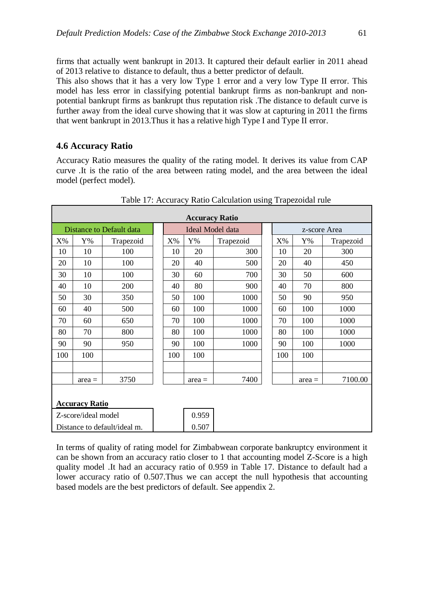firms that actually went bankrupt in 2013. It captured their default earlier in 2011 ahead of 2013 relative to distance to default, thus a better predictor of default.

This also shows that it has a very low Type 1 error and a very low Type II error. This model has less error in classifying potential bankrupt firms as non-bankrupt and nonpotential bankrupt firms as bankrupt thus reputation risk .The distance to default curve is further away from the ideal curve showing that it was slow at capturing in 2011 the firms that went bankrupt in 2013.Thus it has a relative high Type I and Type II error.

#### **4.6 Accuracy Ratio**

Accuracy Ratio measures the quality of the rating model. It derives its value from CAP curve .It is the ratio of the area between rating model, and the area between the ideal model (perfect model).

| <b>Accuracy Ratio</b> |                       |                                 |  |       |                  |           |  |       |              |           |
|-----------------------|-----------------------|---------------------------------|--|-------|------------------|-----------|--|-------|--------------|-----------|
|                       |                       | <b>Distance to Default data</b> |  |       | Ideal Model data |           |  |       | z-score Area |           |
| $X\%$                 | $Y\%$                 | Trapezoid                       |  | $X\%$ | $Y\%$            | Trapezoid |  | $X\%$ | ${\rm Y}\%$  | Trapezoid |
| 10                    | 10                    | 100                             |  | 10    | 20               | 300       |  | 10    | 20           | 300       |
| 20                    | 10                    | 100                             |  | 20    | 40               | 500       |  | 20    | 40           | 450       |
| 30                    | 10                    | 100                             |  | 30    | 60               | 700       |  | 30    | 50           | 600       |
| 40                    | 10                    | 200                             |  | 40    | 80               | 900       |  | 40    | 70           | 800       |
| 50                    | 30                    | 350                             |  | 50    | 100              | 1000      |  | 50    | 90           | 950       |
| 60                    | 40                    | 500                             |  | 60    | 100              | 1000      |  | 60    | 100          | 1000      |
| 70                    | 60                    | 650                             |  | 70    | 100              | 1000      |  | 70    | 100          | 1000      |
| 80                    | 70                    | 800                             |  | 80    | 100              | 1000      |  | 80    | 100          | 1000      |
| 90                    | 90                    | 950                             |  | 90    | 100              | 1000      |  | 90    | 100          | 1000      |
| 100                   | 100                   |                                 |  | 100   | 100              |           |  | 100   | 100          |           |
|                       |                       |                                 |  |       |                  |           |  |       |              |           |
|                       | $area =$              | 3750                            |  |       | $area =$         | 7400      |  |       | $area =$     | 7100.00   |
|                       | <b>Accuracy Ratio</b> |                                 |  |       |                  |           |  |       |              |           |
|                       |                       |                                 |  |       |                  |           |  |       |              |           |
|                       | Z-score/ideal model   |                                 |  |       | 0.959            |           |  |       |              |           |
|                       |                       | Distance to default/ideal m.    |  |       | 0.507            |           |  |       |              |           |

Table 17: Accuracy Ratio Calculation using Trapezoidal rule

In terms of quality of rating model for Zimbabwean corporate bankruptcy environment it can be shown from an accuracy ratio closer to 1 that accounting model Z-Score is a high quality model .It had an accuracy ratio of 0.959 in Table 17. Distance to default had a lower accuracy ratio of 0.507.Thus we can accept the null hypothesis that accounting based models are the best predictors of default. See appendix 2.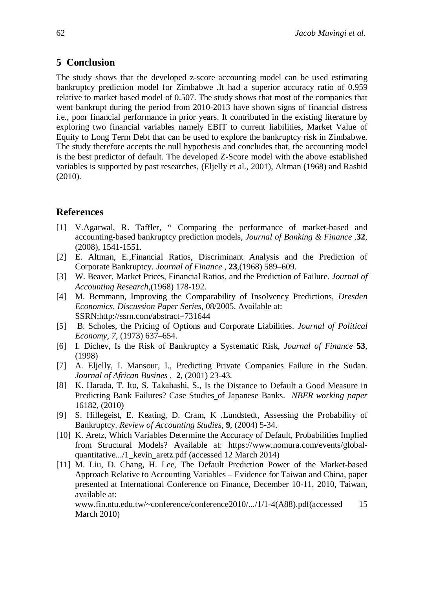# **5 Conclusion**

The study shows that the developed z-score accounting model can be used estimating bankruptcy prediction model for Zimbabwe .It had a superior accuracy ratio of 0.959 relative to market based model of 0.507. The study shows that most of the companies that went bankrupt during the period from 2010-2013 have shown signs of financial distress i.e., poor financial performance in prior years. It contributed in the existing literature by exploring two financial variables namely EBIT to current liabilities, Market Value of Equity to Long Term Debt that can be used to explore the bankruptcy risk in Zimbabwe. The study therefore accepts the null hypothesis and concludes that, the accounting model is the best predictor of default. The developed Z-Score model with the above established variables is supported by past researches, (Eljelly et al., 2001), Altman (1968) and Rashid (2010).

# **References**

- [1] V.Agarwal, R. Taffler, " Comparing the performance of market-based and accounting-based bankruptcy prediction models, *Journal of Banking & Finance* ,**32**, (2008), 1541-1551.
- [2] E. Altman, E.,Financial Ratios, Discriminant Analysis and the Prediction of Corporate Bankruptcy. *Journal of Finance* , **23**,(1968) 589–609.
- [3] W. Beaver, Market Prices, Financial Ratios, and the Prediction of Failure. *Journal of Accounting Research*,(1968) 178-192.
- [4] M. Bemmann, Improving the Comparability of Insolvency Predictions, *Dresden Economics, Discussion Paper Series*, 08/2005. Available at: SSRN:http://ssrn.com/abstract=731644
- [5] B. Scholes, the Pricing of Options and Corporate Liabilities. *Journal of Political Economy, 7*, (1973) 637–654.
- [6] I. Dichev, Is the Risk of Bankruptcy a Systematic Risk, *Journal of Finance* **53**, (1998)
- [7] A. Eljelly, I. Mansour, I., Predicting Private Companies Failure in the Sudan. *Journal of African Busines ,* **2**, (2001) 23-43.
- [8] K. Harada, T. Ito, S. Takahashi, S., [Is the Distance to Default a Good Measure in](http://www.nber.org/papers/w16182)  [Predicting Bank Failures? Case Studies](http://www.nber.org/papers/w16182) of Japanese Banks. *NBER working paper* 16182, (2010)
- [9] S. Hillegeist, E. Keating, D. Cram, K .Lundstedt, Assessing the Probability of Bankruptcy. *Review of Accounting Studies*, **9**, (2004) 5-34.
- [10] K. Aretz, Which Variables Determine the Accuracy of Default, Probabilities Implied from Structural Models? Available at: https://www.nomura.com/events/globalquantitative.../1\_kevin\_aretz.pdf (accessed 12 March 2014)
- [11] M. Liu, D. Chang, H. Lee, The Default Prediction Power of the Market-based Approach Relative to Accounting Variables – Evidence for Taiwan and China, paper presented at International Conference on Finance, December 10-11, 2010, Taiwan, available at:

www.fin.ntu.edu.tw/~conference/conference2010/.../1/1-4(A88).pdf(accessed 15 March 2010)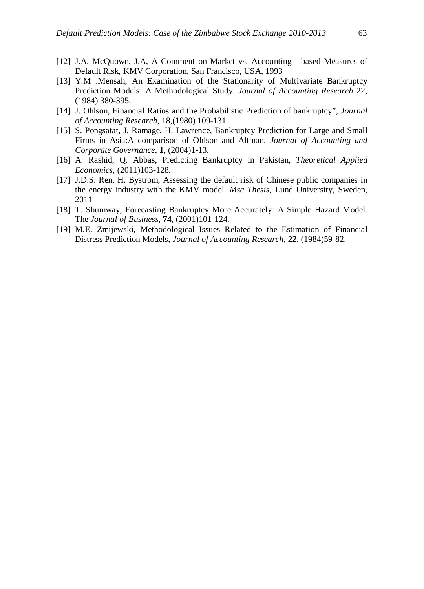- [12] J.A. McQuown, J.A, A Comment on Market vs. Accounting based Measures of Default Risk, KMV Corporation, San Francisco, USA, 1993
- [13] Y.M .Mensah, An Examination of the Stationarity of Multivariate Bankruptcy Prediction Models: A Methodological Study. *Journal of Accounting Research* 22, (1984) 380-395.
- [14] J. Ohlson, Financial Ratios and the Probabilistic Prediction of bankruptcy", *Journal of Accounting Research*, 18,(1980) 109-131.
- [15] S. Pongsatat, J. Ramage, H. Lawrence, Bankruptcy Prediction for Large and Small Firms in Asia:A comparison of Ohlson and Altman. *Journal of Accounting and Corporate Governance*, **1**, (2004)1-13.
- [16] A. Rashid, Q. Abbas, Predicting Bankruptcy in Pakistan, *Theoretical Applied Economics*, (2011)103-128.
- [17] J.D.S. Ren, H. Bystrom, Assessing the default risk of Chinese public companies in the energy industry with the KMV model. *Msc Thesis*, Lund University, Sweden, 2011
- [18] T. Shumway, Forecasting Bankruptcy More Accurately: A Simple Hazard Model. The *Journal of Business*, **74**, (2001)101-124.
- [19] M.E. Zmijewski, Methodological Issues Related to the Estimation of Financial Distress Prediction Models, *Journal of Accounting Research,* **22**, (1984)59-82.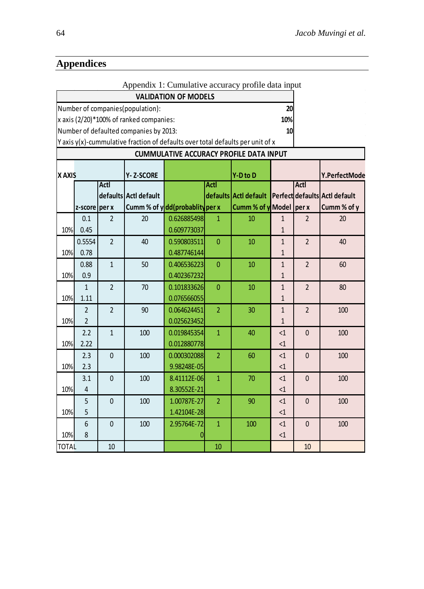# **Appendices**

|                                                |                                                                                |                |                       | Appendix 1: Cumulative accuracy profile data input |                |                         |              |                |                               |  |  |
|------------------------------------------------|--------------------------------------------------------------------------------|----------------|-----------------------|----------------------------------------------------|----------------|-------------------------|--------------|----------------|-------------------------------|--|--|
| <b>VALIDATION OF MODELS</b>                    |                                                                                |                |                       |                                                    |                |                         |              |                |                               |  |  |
| Number of companies(population):<br>20         |                                                                                |                |                       |                                                    |                |                         |              |                |                               |  |  |
| x axis (2/20)*100% of ranked companies:<br>10% |                                                                                |                |                       |                                                    |                |                         |              |                |                               |  |  |
| Number of defaulted companies by 2013:<br>10   |                                                                                |                |                       |                                                    |                |                         |              |                |                               |  |  |
|                                                | Y axis y(x)-cummulative fraction of defaults over total defaults per unit of x |                |                       |                                                    |                |                         |              |                |                               |  |  |
|                                                | <b>CUMMULATIVE ACCURACY PROFILE DATA INPUT</b>                                 |                |                       |                                                    |                |                         |              |                |                               |  |  |
|                                                |                                                                                |                |                       |                                                    |                |                         |              |                |                               |  |  |
| <b>XAXIS</b>                                   |                                                                                |                | Y-Z-SCORE             |                                                    |                | Y-D to D                |              |                | Y.PerfectMode                 |  |  |
|                                                |                                                                                | Actl           |                       |                                                    | <b>Actl</b>    |                         |              | Actl           |                               |  |  |
|                                                |                                                                                |                | defaults Actl default |                                                    |                | defaults Actl default   |              |                | Perfect defaults Actl default |  |  |
|                                                | z-score per x                                                                  |                |                       | Cumm % of y dd(probablity per x                    |                | Cumm % of y Model per x |              |                | Cumm % of y                   |  |  |
|                                                | 0.1                                                                            | $\overline{2}$ | 20                    | 0.626885498                                        | $\mathbf{1}$   | 10                      | $\mathbf{1}$ | $\overline{2}$ | 20                            |  |  |
| 10%                                            | 0.45                                                                           |                |                       | 0.609773037                                        |                |                         | $\mathbf{1}$ |                |                               |  |  |
|                                                | 0.5554                                                                         | $\overline{2}$ | 40                    | 0.590803511                                        | $\overline{0}$ | 10                      | $\mathbf{1}$ | $\overline{2}$ | 40                            |  |  |
| 10%                                            | 0.78                                                                           |                |                       | 0.487746144                                        |                |                         | $\mathbf{1}$ |                |                               |  |  |
|                                                | 0.88                                                                           | $\mathbf{1}$   | 50                    | 0.406536223                                        | $\overline{0}$ | 10                      | $\mathbf 1$  | $\overline{2}$ | 60                            |  |  |
| 10%                                            | 0.9                                                                            |                |                       | 0.402367232                                        |                |                         | $\mathbf{1}$ |                |                               |  |  |
|                                                | $\mathbf{1}$                                                                   | $\overline{2}$ | 70                    | 0.101833626                                        | $\overline{0}$ | 10                      | $\mathbf{1}$ | $\overline{2}$ | 80                            |  |  |
| 10%                                            | 1.11                                                                           |                |                       | 0.076566055                                        |                |                         | $\mathbf{1}$ |                |                               |  |  |
|                                                | $\overline{2}$                                                                 | $\overline{2}$ | 90                    | 0.064624451                                        | $\overline{2}$ | 30                      | $\mathbf{1}$ | $\overline{2}$ | 100                           |  |  |
| 10%                                            | $\overline{2}$                                                                 |                |                       | 0.025623452                                        |                |                         | $\mathbf{1}$ |                |                               |  |  |
|                                                | 2.2                                                                            | $\mathbf{1}$   | 100                   | 0.019845354                                        | $\overline{1}$ | 40                      | $\leq 1$     | $\mathbf{0}$   | 100                           |  |  |
| 10%                                            | 2.22                                                                           |                |                       | 0.012880778                                        |                |                         | $\leq$ 1     |                |                               |  |  |
|                                                | 2.3                                                                            | $\mathbf{0}$   | 100                   | 0.000302088                                        | $\overline{2}$ | 60                      | $\leq 1$     | $\mathbf{0}$   | 100                           |  |  |
| 10%                                            | 2.3                                                                            |                |                       | 9.98248E-05                                        |                |                         | $\leq 1$     |                |                               |  |  |
|                                                | 3.1                                                                            | $\mathbf 0$    | 100                   | 8.41112E-06                                        | $\overline{1}$ | 70                      | $\leq$ 1     | $\mathbf{0}$   | 100                           |  |  |
| 10%                                            | 4                                                                              |                |                       | 8.30552E-21                                        |                |                         | $<1$         |                |                               |  |  |
|                                                | 5                                                                              | $\mathbf 0$    | 100                   | 1.00787E-27                                        | $\overline{2}$ | 90                      | $\leq 1$     | $\mathbf{0}$   | 100                           |  |  |
| 10%                                            | 5                                                                              |                |                       | 1.42104E-28                                        |                |                         | $\leq$ 1     |                |                               |  |  |
|                                                | 6                                                                              | $\mathbf 0$    | 100                   | 2.95764E-72                                        | $\overline{1}$ | 100                     | $\leq 1$     | $\mathbf{0}$   | 100                           |  |  |
| 10%                                            | 8                                                                              |                |                       |                                                    |                |                         | $\leq 1$     |                |                               |  |  |
| <b>TOTAL</b>                                   |                                                                                | 10             |                       |                                                    | 10             |                         |              | 10             |                               |  |  |